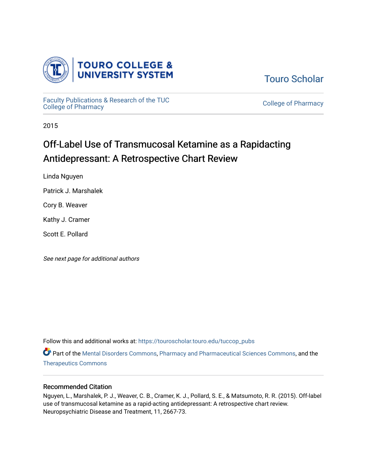

[Touro Scholar](https://touroscholar.touro.edu/) 

[Faculty Publications & Research of the TUC](https://touroscholar.touro.edu/tuccop_pubs)  Paculty Publications & Research of the TOC<br>[College of Pharmacy](https://touroscholar.touro.edu/tuccop_pubs) College of Pharmacy

2015

## Off-Label Use of Transmucosal Ketamine as a Rapidacting Antidepressant: A Retrospective Chart Review

Linda Nguyen

Patrick J. Marshalek

Cory B. Weaver

Kathy J. Cramer

Scott E. Pollard

See next page for additional authors

Follow this and additional works at: [https://touroscholar.touro.edu/tuccop\\_pubs](https://touroscholar.touro.edu/tuccop_pubs?utm_source=touroscholar.touro.edu%2Ftuccop_pubs%2F5&utm_medium=PDF&utm_campaign=PDFCoverPages)

Part of the [Mental Disorders Commons,](http://network.bepress.com/hgg/discipline/968?utm_source=touroscholar.touro.edu%2Ftuccop_pubs%2F5&utm_medium=PDF&utm_campaign=PDFCoverPages) [Pharmacy and Pharmaceutical Sciences Commons](http://network.bepress.com/hgg/discipline/731?utm_source=touroscholar.touro.edu%2Ftuccop_pubs%2F5&utm_medium=PDF&utm_campaign=PDFCoverPages), and the [Therapeutics Commons](http://network.bepress.com/hgg/discipline/993?utm_source=touroscholar.touro.edu%2Ftuccop_pubs%2F5&utm_medium=PDF&utm_campaign=PDFCoverPages)

## Recommended Citation

Nguyen, L., Marshalek, P. J., Weaver, C. B., Cramer, K. J., Pollard, S. E., & Matsumoto, R. R. (2015). Off-label use of transmucosal ketamine as a rapid-acting antidepressant: A retrospective chart review. Neuropsychiatric Disease and Treatment, 11, 2667-73.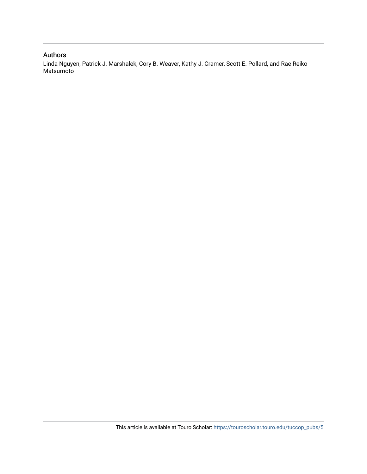#### Authors

Linda Nguyen, Patrick J. Marshalek, Cory B. Weaver, Kathy J. Cramer, Scott E. Pollard, and Rae Reiko Matsumoto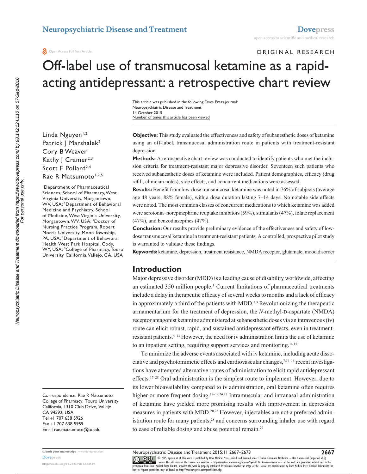ORIGINAL RESEARCH

# Off-label use of transmucosal ketamine as a rapidacting antidepressant: a retrospective chart review

Number of times this article has been viewed This article was published in the following Dove Press journal: Neuropsychiatric Disease and Treatment 14 October 2015

Linda Nguyen<sup>1,2</sup> Patrick J Marshalek<sup>2</sup> Cory B Weaver<sup>1</sup> Kathy |  $Cramer<sup>2,3</sup>$ Scott E Pollard<sup>2,4</sup> Rae R Matsumoto $1,2,5$ 

1 Department of Pharmaceutical Sciences, School of Pharmacy, West Virginia University, Morgantown, WV, USA; 2 Department of Behavioral Medicine and Psychiatry, School of Medicine, West Virginia University, Morgantown, WV, USA;<sup>3</sup>Doctor of Nursing Practice Program, Robert Morris University, Moon Township, PA, USA; 4 Department of Behavioral Health, West Park Hospital, Cody, WY, USA; <sup>5</sup>College of Pharmacy, Touro University California, Vallejo, CA, USA

Correspondence: Rae R Matsumoto College of Pharmacy, Touro University California, 1310 Club Drive, Vallejo, CA 94592, USA Tel +1 707 638 5926 Fax +1 707 638 5959 Email [rae.matsumoto@tu.edu](mailto:rae.matsumoto@tu.edu)

**submit your manuscript** | <www.dovepress.com> **[Dovepress](www.dovepress.com)**

**<http://dx.doi.org/10.2147/NDT.S88569>**

**Objective:** This study evaluated the effectiveness and safety of subanesthetic doses of ketamine using an off-label, transmucosal administration route in patients with treatment-resistant depression.

**Methods:** A retrospective chart review was conducted to identify patients who met the inclusion criteria for treatment-resistant major depressive disorder. Seventeen such patients who received subanesthetic doses of ketamine were included. Patient demographics, efficacy (drug refill, clinician notes), side effects, and concurrent medications were assessed.

**Results:** Benefit from low-dose transmucosal ketamine was noted in 76% of subjects (average age 48 years, 88% female), with a dose duration lasting 7–14 days. No notable side effects were noted. The most common classes of concurrent medications to which ketamine was added were serotonin–norepinephrine reuptake inhibitors (59%), stimulants (47%), folate replacement (47%), and benzodiazepines (47%).

**Conclusion:** Our results provide preliminary evidence of the effectiveness and safety of lowdose transmucosal ketamine in treatment-resistant patients. A controlled, prospective pilot study is warranted to validate these findings.

**Keywords:** ketamine, depression, treatment resistance, NMDA receptor, glutamate, mood disorder

## **Introduction**

Major depressive disorder (MDD) is a leading cause of disability worldwide, affecting an estimated 350 million people.<sup>1</sup> Current limitations of pharmaceutical treatments include a delay in therapeutic efficacy of several weeks to months and a lack of efficacy in approximately a third of the patients with MDD.<sup>2,3</sup> Revolutionizing the therapeutic armamentarium for the treatment of depression, the *N*-methyl-D-aspartate (NMDA) receptor antagonist ketamine administered at subanesthetic doses via an intravenous (iv) route can elicit robust, rapid, and sustained antidepressant effects, even in treatmentresistant patients.<sup>4–13</sup> However, the need for iv administration limits the use of ketamine to an inpatient setting, requiring support services and monitoring.<sup>14,15</sup>

To minimize the adverse events associated with iv ketamine, including acute dissociative and psychotomimetic effects and cardiovascular changes,<sup>7,14–16</sup> recent investigations have attempted alternative routes of administration to elicit rapid antidepressant effects.17–28 Oral administration is the simplest route to implement. However, due to its lower bioavailability compared to iv administration, oral ketamine often requires higher or more frequent dosing.<sup>17–19,24,27</sup> Intramuscular and intranasal administration of ketamine have yielded more promising results with improvement in depression measures in patients with MDD.20,22 However, injectables are not a preferred administration route for many patients,<sup>28</sup> and concerns surrounding inhaler use with regard to ease of reliable dosing and abuse potential remain.<sup>29</sup>

CO OD S Nguyen et al. This work is published by Dove Medical Press Limited, and licensed under Creative Commons Attribution - Non Commercial (unported, v3.0)<br> [permission from Dove M](http://www.dovepress.com/permissions.php)edical Press Limited, provided the work i

Neuropsychiatric Disease and Treatment 2015:11 2667–2673

how to request permission may be found at: http://www.dovepress.com/permissions.php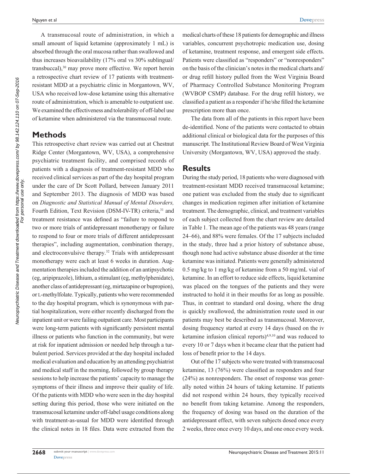A transmucosal route of administration, in which a small amount of liquid ketamine (approximately 1 mL) is absorbed through the oral mucosa rather than swallowed and thus increases bioavailability (17% oral vs 30% sublingual/ transbuccal),<sup>30</sup> may prove more effective. We report herein a retrospective chart review of 17 patients with treatmentresistant MDD at a psychiatric clinic in Morgantown, WV, USA who received low-dose ketamine using this alternative route of administration, which is amenable to outpatient use. We examined the effectiveness and tolerability of off-label use of ketamine when administered via the transmucosal route.

## **Methods**

This retrospective chart review was carried out at Chestnut Ridge Center (Morgantown, WV, USA), a comprehensive psychiatric treatment facility, and comprised records of patients with a diagnosis of treatment-resistant MDD who received clinical services as part of the day hospital program under the care of Dr Scott Pollard, between January 2011 and September 2013. The diagnosis of MDD was based on *Diagnostic and Statistical Manual of Mental Disorders,*  Fourth Edition, Text Revision (DSM-IV-TR) criteria,<sup>31</sup> and treatment resistance was defined as "failure to respond to two or more trials of antidepressant monotherapy or failure to respond to four or more trials of different antidepressant therapies", including augmentation, combination therapy, and electroconvulsive therapy.32 Trials with antidepressant monotherapy were each at least 6 weeks in duration. Augmentation therapies included the addition of an antipsychotic (eg, aripiprazole), lithium, a stimulant (eg, methylphenidate), another class of antidepressant (eg, mirtazapine or bupropion), or l-methylfolate. Typically, patients who were recommended to the day hospital program, which is synonymous with partial hospitalization, were either recently discharged from the inpatient unit or were failing outpatient care. Most participants were long-term patients with significantly persistent mental illness or patients who function in the community, but were at risk for inpatient admission or needed help through a turbulent period. Services provided at the day hospital included medical evaluation and education by an attending psychiatrist and medical staff in the morning, followed by group therapy sessions to help increase the patients' capacity to manage the symptoms of their illness and improve their quality of life. Of the patients with MDD who were seen in the day hospital setting during this period, those who were initiated on the transmucosal ketamine under off-label usage conditions along with treatment-as-usual for MDD were identified through the clinical notes in 18 files. Data were extracted from the medical charts of these 18 patients for demographic and illness variables, concurrent psychotropic medication use, dosing of ketamine, treatment response, and emergent side effects. Patients were classified as "responders" or "nonresponders" on the basis of the clinician's notes in the medical charts and/ or drug refill history pulled from the West Virginia Board of Pharmacy Controlled Substance Monitoring Program (WVBOP CSMP) database. For the drug refill history, we classified a patient as a responder if he/she filled the ketamine prescription more than once.

The data from all of the patients in this report have been de-identified. None of the patients were contacted to obtain additional clinical or biological data for the purposes of this manuscript. The Institutional Review Board of West Virginia University (Morgantown, WV, USA) approved the study.

## **Results**

During the study period, 18 patients who were diagnosed with treatment-resistant MDD received transmucosal ketamine; one patient was excluded from the study due to significant changes in medication regimen after initiation of ketamine treatment. The demographic, clinical, and treatment variables of each subject collected from the chart review are detailed in Table 1. The mean age of the patients was 48 years (range 24–66), and 88% were females. Of the 17 subjects included in the study, three had a prior history of substance abuse, though none had active substance abuse disorder at the time ketamine was initiated. Patients were generally administered 0.5 mg/kg to 1 mg/kg of ketamine from a 50 mg/mL vial of ketamine. In an effort to reduce side effects, liquid ketamine was placed on the tongues of the patients and they were instructed to hold it in their mouths for as long as possible. Thus, in contrast to standard oral dosing, where the drug is quickly swallowed, the administration route used in our patients may best be described as transmucosal. Moreover, dosing frequency started at every 14 days (based on the iv ketamine infusion clinical reports $4,9,10$  and was reduced to every 10 or 7 days when it became clear that the patient had loss of benefit prior to the 14 days.

Out of the 17 subjects who were treated with transmucosal ketamine, 13 (76%) were classified as responders and four (24%) as nonresponders. The onset of response was generally noted within 24 hours of taking ketamine. If patients did not respond within 24 hours, they typically received no benefit from taking ketamine. Among the responders, the frequency of dosing was based on the duration of the antidepressant effect, with seven subjects dosed once every 2 weeks, three once every 10 days, and one once every week.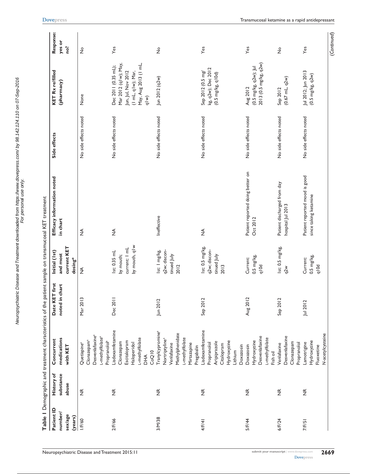|                       |                         | Table 1 Demographic and treatment characteristics of the patient sample on transmucosal KET treatment                                       |                                       |                                                             |                                                        |                       |                                                                                                                              |                            |
|-----------------------|-------------------------|---------------------------------------------------------------------------------------------------------------------------------------------|---------------------------------------|-------------------------------------------------------------|--------------------------------------------------------|-----------------------|------------------------------------------------------------------------------------------------------------------------------|----------------------------|
| Patient ID<br>number/ | History of<br>substance | medications<br>Concurrent                                                                                                                   | Date KET first<br>in chart<br>noted i | Initial (1st)<br>and most                                   | Efficacy information noted<br>in chart                 | Side effects          | <b>KET Rx re/filled</b><br>(pharmacy)                                                                                        | Response:<br>yes or        |
| sex/age<br>(years)    | abuse                   | with KET                                                                                                                                    |                                       | current KET<br>dosing*                                      |                                                        |                       |                                                                                                                              | îoù                        |
| I/F/60                | $\frac{\alpha}{2}$      | Desvenlafaxine <sup>a</sup><br>L-methylfolate <sup>a</sup><br>Clonazepam <sup>a</sup><br>Propranolo <sup>a</sup><br>Quetiapine <sup>a</sup> | 3<br>Mar 201                          | $\frac{\triangleleft}{\triangle}$                           | $\lessgtr$                                             | No side effects noted | None                                                                                                                         | $\frac{1}{2}$              |
| 2/F/66                | $\frac{\alpha}{2}$      | _isdexamfetamine<br>L-methylfolate<br>Escitalopram<br>Clonazepam<br>Haloperidol<br>CoQ <sub>10</sub><br><b>DHA</b>                          | <b>Dec 201</b>                        | by mouth, qlw<br>current: I mL<br>Ist: 0.35 mL<br>by mouth; | ≸                                                      | No side effects noted | Mar 2012 (qlw); May,<br>May, Aug 2013 (1 mL,<br>Dec 2011 (0.35 mL);<br>(1 mL, q1w); Mar,<br>Jun, Jul, Nov 2012<br>$q \mid w$ | Yes                        |
| 3/M/38                | $\widetilde{\Xi}$       | Tranylcypromine <sup>a</sup><br>Methylphenidate<br>-methylfolate<br>Nortriptyline <sup>a</sup><br>Venlafaxine<br>Mirtazapine<br>Pregabalin  | Jun 2012                              | Ist: I mg/kg,<br>q2w; discon-<br>tinued July<br>2012        | Ineffective                                            | No side effects noted | Jun 2012 (q2w)                                                                                                               | $\frac{1}{2}$              |
| 4/F/41                | $\frac{\alpha}{2}$      | Lisdexamfetamine<br>Hydroxyzine<br>Aripiprazole<br>Propranolol<br>Citalopram<br>Doxazosin<br>Lithium                                        | Sep 2012                              | Ist: 0.5 mg/kg,<br>q2w; discon-<br>tinued July<br>2013      | ₹                                                      | No side effects noted | kg, q2w); Dec 2012<br>Sep 2012 (0.5 mg/<br>$(0.5 \text{ mg/kg}, 410d)$                                                       | Yes                        |
| <b>S/F/44</b>         | $\widetilde{\Xi}$       | Desvenlafaxine<br>L-methylfolate<br>Hydroxyzine<br>Doxazosin<br>Fish oil                                                                    | $\mathbf 2$<br>Aug 2012               | $0.5$ mg/kg,<br><b>Current:</b><br>polp                     | Patient reported doing better on<br>Oct 2012           | No side effects noted | 2013 (0.5 mg/kg, q2w)<br>$(0.5 \text{ mg/kg}, q2w)$ ; Jul<br>Aug 2012                                                        | $\mathsf{Yes}$             |
| 6/F/24                | ž                       | Desvenlafaxine<br>Clonazepam<br>Propranolol<br>Venlafaxine                                                                                  | $\sim$<br>Sep 2012                    | Ist: 0.5 mg/kg,<br>q2w                                      | Patient discharged from day<br>hospital Jul 2013       | No side effects noted | $(0.67$ mL, $q2w)$<br>Sep 2012                                                                                               | $\stackrel{\circ}{\simeq}$ |
| <b>7/F/51</b>         | $\frac{\alpha}{Z}$      | N-acetylcysteine<br>Hydroxyzine<br>Lamotrigine<br>Fluoxetine                                                                                | Jul 2012                              | $0.5$ mg/kg,<br>Current:<br>polb                            | Patient reported mood is good<br>since taking ketamine | No side effects noted | Jul 2012; Jun 2013<br>$(0.5 \text{ mg/kg}, 92w)$                                                                             | Yes                        |
|                       |                         |                                                                                                                                             |                                       |                                                             |                                                        |                       |                                                                                                                              | (Continued)                |

Neuropsychiatric Disease and Treatment downloaded from https://www.dovepress.com/ by 98.142.124.110 on 07-Sep-2016<br>For personal use only. Neuropsychiatric Disease and Treatment downloaded from https://www.dovepress.com/ by 98.142.124.110 on 07-Sep-2016 For personal use only.

**Neuropsychiatric Disease and Treatment 2015:11 submit your manuscript |<www.dovepress.com>** 

**[Dovepress](www.dovepress.com)**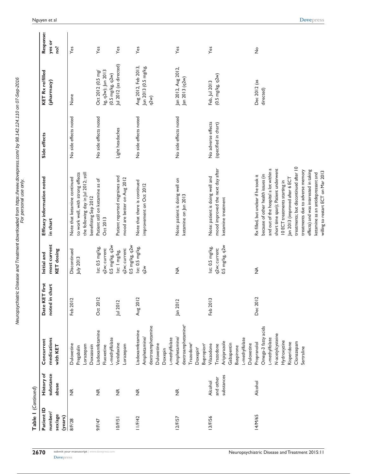| Ó<br>Ì<br>ļ<br>ׇ֦֘֝֡<br>I<br>l<br>י<br>I<br>١<br>֘֝֕<br>֘֝֬<br>ī<br>j<br>ć |
|----------------------------------------------------------------------------|
|----------------------------------------------------------------------------|

| 2670 | submit your manuscript   www.dovepress.com |  |
|------|--------------------------------------------|--|

**[Dovepress](www.dovepress.com)** 

| Table I (Continued) |                    |                                       |                               |                                      |                                                                                                           |                       |                             |                |
|---------------------|--------------------|---------------------------------------|-------------------------------|--------------------------------------|-----------------------------------------------------------------------------------------------------------|-----------------------|-----------------------------|----------------|
| Patient ID          | History of         | Concurrent                            | Date KET first                | Initial and                          | Efficacy information noted                                                                                | Side effects          | <b>KET Rx re/filled</b>     | Response:      |
| number/<br>sex/age  | substance<br>abuse | medications<br>with KET               | noted in chart                | most current<br>KET dosing           | in chart                                                                                                  |                       | (pharmacy)                  | yes or<br>îoù  |
| (years)             |                    |                                       |                               |                                      |                                                                                                           |                       |                             |                |
| 8/F/28              | $\frac{\alpha}{2}$ | Duloxetine<br>-orazepam<br>Pregabalin | $\sim$<br>Feb 201             | Discontinued<br>July 2013            | the following day in Jul 2012; still<br>to work well, with strong effects<br>Note that ketamine continued | No side effects noted | None                        | Yes            |
|                     |                    | Doxazosin                             |                               |                                      | benefitting Sep 2012                                                                                      |                       |                             |                |
| 9/F/47              | $\frac{\alpha}{2}$ | Lisdexamfetamine                      | Oct 2012                      | Ist: 0.5 mg/kg,                      | Patient still on ketamine as of                                                                           | No side effects noted | Oct 2012 $(0.5 \text{ mg})$ | Yes            |
|                     |                    | Fluoxetine                            |                               | q2w; current:                        | Oct 2013                                                                                                  |                       | kg, q2w); Jun 2013          |                |
|                     |                    | L-methylfolate                        |                               | $0.5$ mg/kg, q $2w$                  |                                                                                                           |                       | $(0.5 \text{ mg/kg}, 42w)$  |                |
| <b>10/F/51</b>      | $\widetilde{\Xi}$  | Venlafaxine                           | Jul 2012                      | Ist: I mg/kg,                        | Patient reported migraines and                                                                            | Light headaches       | Jul 2012 (as directed)      | $\mathsf{Yes}$ |
|                     |                    | Lorazepam                             |                               | $0.5$ mg/kg, q $2w$<br>q2w; current: | mood are better on Aug 2012                                                                               |                       |                             |                |
| IIF/42              | $\widetilde{\Xi}$  | Lisdexamfetamine                      | Aug 2012                      | Ist: 0.5 mg/kg,                      | Note that there is continued                                                                              | No side effects noted | Aug 2012, Feb 2013,         | Yes            |
|                     |                    | Amphetamine/                          |                               | q2w                                  | improvement on Oct 2012                                                                                   |                       | Jun 2013 (0.5 mg/kg,        |                |
|                     |                    | dextroamphetamine                     |                               |                                      |                                                                                                           |                       | q2w                         |                |
|                     |                    | Duloxetine                            |                               |                                      |                                                                                                           |                       |                             |                |
|                     |                    | Doxepin                               |                               |                                      |                                                                                                           |                       |                             |                |
|                     |                    | L-methylfolate                        |                               |                                      |                                                                                                           |                       |                             |                |
| 12/F/57             | $\frac{\alpha}{2}$ | Amphetamine/                          | Jan 2012                      | ≸                                    | Note: patient is doing well on                                                                            | No side effects noted | Jan 2012, Aug 2012,         | Yes            |
|                     |                    | dextroamphetamine <sup>a</sup>        |                               |                                      | ketamine on Jan 2013                                                                                      |                       | Jan 2013 (q2w)              |                |
|                     |                    | Trazodone <sup>a</sup>                |                               |                                      |                                                                                                           |                       |                             |                |
|                     |                    | Doxepin <sup>a</sup>                  |                               |                                      |                                                                                                           |                       |                             |                |
|                     |                    | <b>Bupropion</b> <sup>a</sup>         |                               |                                      |                                                                                                           |                       |                             |                |
| 13/F/56             | Alcohol            | Vilazodone                            | Feb 201                       | Ist: 0.5 mg/kg,                      | Note: patient is doing well and                                                                           | No adverse effects    | Feb, Jul 2013               | Yes            |
|                     | and other          | Trazodone                             |                               | q2w; current:                        | mood improved the next day after                                                                          | (specified in chart)  | $(0.5 \text{ mg/kg}, 92w)$  |                |
|                     | substances         | Aripiprazole                          |                               | $0.5$ mg/kg, q $2w$                  | ketamine treatment                                                                                        |                       |                             |                |
|                     |                    | Gabapentin                            |                               |                                      |                                                                                                           |                       |                             |                |
|                     |                    | <b>Buspirone</b>                      |                               |                                      |                                                                                                           |                       |                             |                |
|                     |                    |                                       |                               |                                      |                                                                                                           |                       |                             |                |
|                     |                    | L-methylfolate                        |                               |                                      |                                                                                                           |                       |                             |                |
| 14/M/65             | Alcohol            | Duloxetine                            | $\mathbf 2$<br><b>Dec 201</b> | ≸                                    | Rx filled, but unclear if he took it                                                                      |                       | Dec 2012 (as                | $\frac{1}{2}$  |
|                     |                    | Propranolol                           |                               |                                      |                                                                                                           |                       |                             |                |
|                     |                    | Omega-3 fatty acids                   |                               |                                      | because of other health issues (in                                                                        |                       | directed)                   |                |
|                     |                    | L-methylfolate                        |                               |                                      | and out of the hospital a lot within a                                                                    |                       |                             |                |
|                     |                    | N-acetylcysteine                      |                               |                                      | short time span); Patient underwent                                                                       |                       |                             |                |
|                     |                    | Hydroxyzine                           |                               |                                      | 10 ECT treatments starting in                                                                             |                       |                             |                |
|                     |                    | Risperidone                           |                               |                                      | an 2013 (improved after 6 ECT                                                                             |                       |                             |                |
|                     |                    | Clonazepam                            |                               |                                      | treatments; but discontinued after 10                                                                     |                       |                             |                |
|                     |                    | Sertraline                            |                               |                                      | treatments due to adverse memory                                                                          |                       |                             |                |
|                     |                    |                                       |                               |                                      | effects) and was interested in taking                                                                     |                       |                             |                |
|                     |                    |                                       |                               |                                      | ketamine as an antidepressant and                                                                         |                       |                             |                |
|                     |                    |                                       |                               |                                      | willing to restart ECT on Mar 2013                                                                        |                       |                             |                |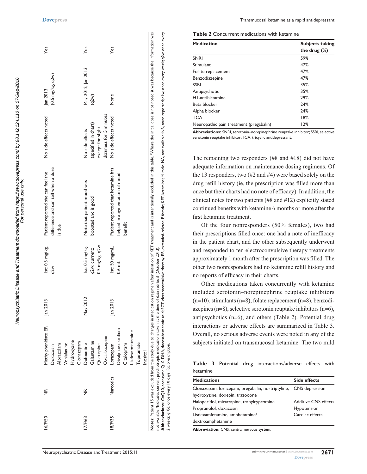| 16/F/50 | $\frac{\kappa}{2}$                                    | Methylphenidate ER<br>Hydroxyzine<br>Clonazepam<br>Venlafaxine<br>Alprazolam<br>Doxazosin                                  | Jan 2013 | Ist: 0.5 mg/kg,<br>q2w                               | difference and can tell when a dose<br>Patient reported she can feel the<br>is due                                                                                                                                                                                                                                                                                                                                                                              | No side effects noted                                                                   | $(0.5 \text{ mg/kg}, q2w)$<br>Jan 2013 | Yes |
|---------|-------------------------------------------------------|----------------------------------------------------------------------------------------------------------------------------|----------|------------------------------------------------------|-----------------------------------------------------------------------------------------------------------------------------------------------------------------------------------------------------------------------------------------------------------------------------------------------------------------------------------------------------------------------------------------------------------------------------------------------------------------|-----------------------------------------------------------------------------------------|----------------------------------------|-----|
| 17/F/63 | $\frac{\alpha}{2}$                                    | Oxcarbazepine<br>Galantamine<br>Duloxetine<br>Quetiapine                                                                   | May 201  | $0.5$ mg/kg, q2w<br>Ist: 0.5 mg/kg,<br>q2w; current: | Note that patient mood was<br>boosted and is good                                                                                                                                                                                                                                                                                                                                                                                                               | dizziness for 5 minutes<br>(specified in chart)<br>except for slight<br>No side effects | May 2012, Jan 2013<br>(q2w)            | Yes |
| 18/F/35 | Narcotics                                             | Divalproex sodium<br>Lisdexamfetamine<br>Topiramate<br>Citalopram<br>Lorazepam<br>Inositol                                 | an 2013  | Ist: 50 mg/mL,<br>$0.6$ mL                           | Patient reported that ketamine has<br>helped in augmentation of mood<br>benefit                                                                                                                                                                                                                                                                                                                                                                                 | No side effects noted                                                                   | None                                   | Yes |
|         | 2 weeks; ql 0d, once every 10 days; Rx, prescription. | not available. <sup>a</sup> Indicates current psychotropic medications taken at the time of data retrieval (October 2013). |          |                                                      | Notes: Patient I5 was excluded from the study due to changes in medication regimen after initiation of KET treatment and is intentionally excluded in this table. *Where the initial dose is not noted, it was because the inf<br>Abbreviations: CoQ10, coenzyme Q10; DHA, docosahexaenoic acid; ECT, electroconvulsive therapy; ER, extended-release; Fiemale; KET, ketamine; M, mate; NA, not available; NR, none reported; q1 w, once every week; q2 w, once |                                                                                         |                                        |     |

**Table 2** Concurrent medications with ketamine

| <b>Medication</b>                       | <b>Subjects taking</b> |
|-----------------------------------------|------------------------|
|                                         | the drug $(\%)$        |
| <b>SNRI</b>                             | 59%                    |
| Stimulant                               | 47%                    |
| Folate replacement                      | 47%                    |
| Benzodiazepine                          | 47%                    |
| <b>SSRI</b>                             | 35%                    |
| Antipsychotic                           | 35%                    |
| H <sub>1</sub> -antihistamine           | 29%                    |
| Beta blocker                            | 24%                    |
| Alpha blocker                           | 24%                    |
| <b>TCA</b>                              | 18%                    |
| Neuropathic pain treatment (pregabalin) | 12%                    |

**Abbreviations:** SNRI, serotonin–norepinephrine reuptake inhibitor; SSRI, selective serotonin reuptake inhibitor; TCA, tricyclic antidepressant.

The remaining two responders (#8 and #18) did not have adequate information on maintenance dosing regimens. Of the 13 responders, two (#2 and #4) were based solely on the drug refill history (ie, the prescription was filled more than once but their charts had no note of efficacy). In addition, the clinical notes for two patients (#8 and #12) explicitly stated continued benefits with ketamine 6 months or more after the first ketamine treatment.

Of the four nonresponders (50% females), two had their prescriptions filled once: one had a note of inefficacy in the patient chart, and the other subsequently underwent and responded to ten electroconvulsive therapy treatments approximately 1 month after the prescription was filled. The other two nonresponders had no ketamine refill history and no reports of efficacy in their charts.

Other medications taken concurrently with ketamine included serotonin–norepinephrine reuptake inhibitors  $(n=10)$ , stimulants  $(n=8)$ , folate replacement  $(n=8)$ , benzodiazepines (n=8), selective serotonin reuptake inhibitors (n=6), antipsychotics (n=6), and others (Table 2). Potential drug interactions or adverse effects are summarized in Table 3. Overall, no serious adverse events were noted in any of the subjects initiated on transmucosal ketamine. The two mild

**Table 3** Potential drug interactions/adverse effects with ketamine

| <b>Medications</b>                                               | <b>Side effects</b>         |
|------------------------------------------------------------------|-----------------------------|
| Clonazepam, lorazepam, pregabalin, nortriptyline, CNS depression |                             |
| hydroxyzine, doxepin, trazodone                                  |                             |
| Haloperidol, mirtazapine, tranylcypromine                        | <b>Additive CNS effects</b> |
| Propranolol, doxazosin                                           | Hypotension                 |
| Lisdexamfetamine, amphetamine/                                   | Cardiac effects             |
| dextroamphetamine                                                |                             |

**Abbreviation:** CNS, central nervous system.

Neuropsychiatric Disease and Treatment downloaded from https://www.dovepress.com/ by 98.142.124.110 on 07-Sep-2016<br>For personal use only. Neuropsychiatric Disease and Treatment downloaded from https://www.dovepress.com/ by 98.142.124.110 on 07-Sep-2016 For personal use only. **[Dovepress](www.dovepress.com)**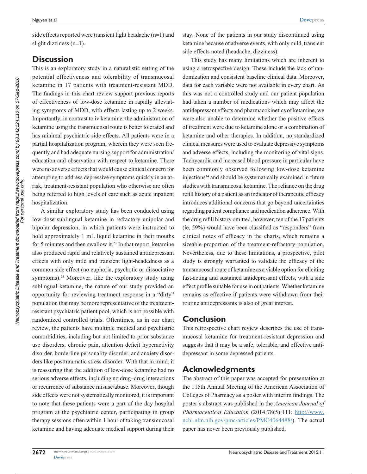side effects reported were transient light headache (n=1) and slight dizziness (n=1).

## **Discussion**

This is an exploratory study in a naturalistic setting of the potential effectiveness and tolerability of transmucosal ketamine in 17 patients with treatment-resistant MDD. The findings in this chart review support previous reports of effectiveness of low-dose ketamine in rapidly alleviating symptoms of MDD, with effects lasting up to 2 weeks. Importantly, in contrast to iv ketamine, the administration of ketamine using the transmucosal route is better tolerated and has minimal psychiatric side effects. All patients were in a partial hospitalization program, wherein they were seen frequently and had adequate nursing support for administration/ education and observation with respect to ketamine. There were no adverse effects that would cause clinical concern for attempting to address depressive symptoms quickly in an atrisk, treatment-resistant population who otherwise are often being referred to high levels of care such as acute inpatient hospitalization.

A similar exploratory study has been conducted using low-dose sublingual ketamine in refractory unipolar and bipolar depression, in which patients were instructed to hold approximately 1 mL liquid ketamine in their mouths for 5 minutes and then swallow it.<sup>23</sup> In that report, ketamine also produced rapid and relatively sustained antidepressant effects with only mild and transient light-headedness as a common side effect (no euphoria, psychotic or dissociative symptoms).<sup>23</sup> Moreover, like the exploratory study using sublingual ketamine, the nature of our study provided an opportunity for reviewing treatment response in a "dirty" population that may be more representative of the treatmentresistant psychiatric patient pool, which is not possible with randomized controlled trials. Oftentimes, as in our chart review, the patients have multiple medical and psychiatric comorbidities, including but not limited to prior substance use disorders, chronic pain, attention deficit hyperactivity disorder, borderline personality disorder, and anxiety disorders like posttraumatic stress disorder. With that in mind, it is reassuring that the addition of low-dose ketamine had no serious adverse effects, including no drug–drug interactions or recurrence of substance misuse/abuse. Moreover, though side effects were not systematically monitored, it is important to note that these patients were a part of the day hospital program at the psychiatric center, participating in group therapy sessions often within 1 hour of taking transmucosal ketamine and having adequate medical support during their stay. None of the patients in our study discontinued using ketamine because of adverse events, with only mild, transient side effects noted (headache, dizziness).

This study has many limitations which are inherent to using a retrospective design. These include the lack of randomization and consistent baseline clinical data. Moreover, data for each variable were not available in every chart. As this was not a controlled study and our patient population had taken a number of medications which may affect the antidepressant effects and pharmacokinetics of ketamine, we were also unable to determine whether the positive effects of treatment were due to ketamine alone or a combination of ketamine and other therapies. In addition, no standardized clinical measures were used to evaluate depressive symptoms and adverse effects, including the monitoring of vital signs. Tachycardia and increased blood pressure in particular have been commonly observed following low-dose ketamine injections<sup>14</sup> and should be systematically examined in future studies with transmucosal ketamine. The reliance on the drug refill history of a patient as an indicator of therapeutic efficacy introduces additional concerns that go beyond uncertainties regarding patient compliance and medication adherence. With the drug refill history omitted, however, ten of the 17 patients (ie, 59%) would have been classified as "responders" from clinical notes of efficacy in the charts, which remains a sizeable proportion of the treatment-refractory population. Nevertheless, due to these limitations, a prospective, pilot study is strongly warranted to validate the efficacy of the transmucosal route of ketamine as a viable option for eliciting fast-acting and sustained antidepressant effects, with a side effect profile suitable for use in outpatients. Whether ketamine remains as effective if patients were withdrawn from their routine antidepressants is also of great interest.

## **Conclusion**

This retrospective chart review describes the use of transmucosal ketamine for treatment-resistant depression and suggests that it may be a safe, tolerable, and effective antidepressant in some depressed patients.

## **Acknowledgments**

The abstract of this paper was accepted for presentation at the 115th Annual Meeting of the American Association of Colleges of Pharmacy as a poster with interim findings. The poster's abstract was published in the *American Journal of Pharmaceutical Education* (2014;78(5):111; [http://www.](http://www.ncbi.nlm.nih.gov/pmc/articles/PMC4064488/) [ncbi.nlm.nih.gov/pmc/articles/PMC4064488/\)](http://www.ncbi.nlm.nih.gov/pmc/articles/PMC4064488/). The actual paper has never been previously published.